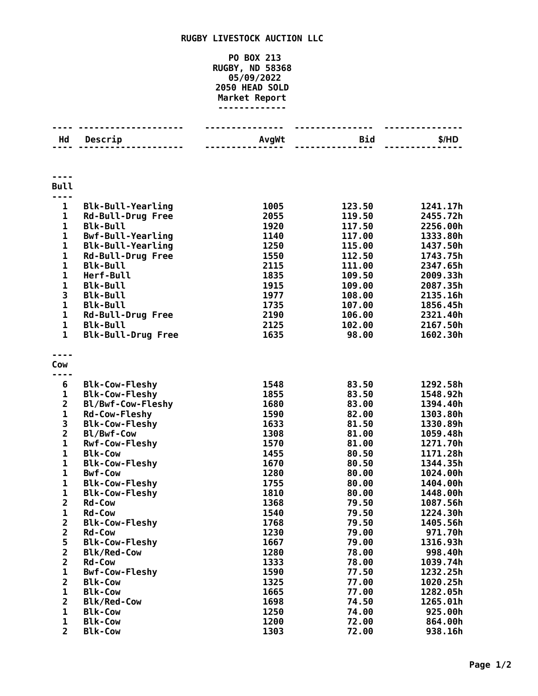## **RUGBY LIVESTOCK AUCTION LLC**

## **PO BOX 213 RUGBY, ND 58368 05/09/2022 HEAD SOLD Market Report -------------**

| Hd                          | Descrip                                              | AvgWt        | Bid              | \$/HD                |
|-----------------------------|------------------------------------------------------|--------------|------------------|----------------------|
|                             | . <b>.</b>                                           |              |                  |                      |
|                             |                                                      |              |                  |                      |
|                             |                                                      |              |                  |                      |
| <b>Bull</b>                 |                                                      |              |                  |                      |
|                             |                                                      |              |                  |                      |
| $\mathbf{1}$                | <b>Blk-Bull-Yearling</b>                             | 1005         | 123.50           | 1241.17h             |
| 1                           | <b>Rd-Bull-Drug Free</b>                             | 2055         | 119.50           | 2455.72h             |
| 1                           | <b>Blk-Bull</b>                                      | 1920         | 117.50           | 2256.00h             |
| $\mathbf{1}$<br>$\mathbf 1$ | <b>Bwf-Bull-Yearling</b><br><b>Blk-Bull-Yearling</b> | 1140<br>1250 | 117.00           | 1333.80h<br>1437.50h |
| 1                           | <b>Rd-Bull-Drug Free</b>                             | 1550         | 115.00<br>112.50 | 1743.75h             |
| $\mathbf{1}$                | <b>Blk-Bull</b>                                      | 2115         | 111.00           | 2347.65h             |
| $\mathbf 1$                 | Herf-Bull                                            | 1835         | 109.50           | 2009.33h             |
| $\mathbf{1}$                | <b>Blk-Bull</b>                                      | 1915         | 109.00           | 2087.35h             |
| 3                           | <b>Blk-Bull</b>                                      | 1977         | 108.00           | 2135.16h             |
| 1                           | <b>Blk-Bull</b>                                      | 1735         | 107.00           | 1856.45h             |
| $\mathbf{1}$                | Rd-Bull-Drug Free                                    | 2190         | 106.00           | 2321.40h             |
| $\mathbf{1}$                | <b>Blk-Bull</b>                                      | 2125         | 102.00           | 2167.50h             |
| $\mathbf{1}$                | <b>Blk-Bull-Drug Free</b>                            | 1635         | 98.00            | 1602.30h             |
|                             |                                                      |              |                  |                      |
|                             |                                                      |              |                  |                      |
| Cow                         |                                                      |              |                  |                      |
| 6                           | <b>Blk-Cow-Fleshy</b>                                | 1548         | 83.50            | 1292.58h             |
| $\mathbf{1}$                | <b>Blk-Cow-Fleshy</b>                                | 1855         | 83.50            | 1548.92h             |
| $\overline{2}$              | Bl/Bwf-Cow-Fleshy                                    | 1680         | 83.00            | 1394.40h             |
| $\mathbf 1$                 | <b>Rd-Cow-Fleshy</b>                                 | 1590         | 82.00            | 1303.80h             |
| 3                           | <b>Blk-Cow-Fleshy</b>                                | 1633         | 81.50            | 1330.89h             |
| $\overline{\mathbf{c}}$     | Bl/Bwf-Cow                                           | 1308         | 81.00            | 1059.48h             |
| $\mathbf{1}$                | <b>Rwf-Cow-Fleshy</b>                                | 1570         | 81.00            | 1271.70h             |
| 1                           | <b>Blk-Cow</b>                                       | 1455         | 80.50            | 1171.28h             |
| 1                           | <b>Blk-Cow-Fleshy</b>                                | 1670         | 80.50            | 1344.35h             |
| $\mathbf{1}$                | <b>Bwf-Cow</b>                                       | 1280         | 80.00            | 1024.00h             |
| $\mathbf{1}$                | <b>Blk-Cow-Fleshy</b>                                | 1755         | 80.00            | 1404.00h             |
| 1                           | <b>Blk-Cow-Fleshy</b>                                | 1810         | 80.00            | 1448.00h             |
| $\overline{\mathbf{2}}$     | <b>Rd-Cow</b>                                        | 1368         | 79.50            | 1087.56h             |
| 1                           | <b>Rd-Cow</b>                                        | 1540         | 79.50            | 1224.30h             |
| $\overline{\mathbf{c}}$     | <b>Blk-Cow-Fleshy</b>                                | 1768         | 79.50            | 1405.56h             |
| $\overline{\mathbf{c}}$     | <b>Rd-Cow</b>                                        | 1230         | 79.00            | 971.70h              |
| 5                           | <b>Blk-Cow-Fleshy</b>                                | 1667         | 79.00            | 1316.93h             |
| $\overline{\mathbf{2}}$     | <b>Blk/Red-Cow</b>                                   | 1280         | 78.00            | 998.40h              |
| $\overline{\mathbf{2}}$     | <b>Rd-Cow</b>                                        | 1333         | 78.00            | 1039.74h             |
| $\mathbf{1}$                | <b>Bwf-Cow-Fleshy</b>                                | 1590         | 77.50            | 1232.25h             |
| $\overline{2}$              | <b>Blk-Cow</b>                                       | 1325         | 77.00            | 1020.25h             |
| $\mathbf 1$                 | <b>Blk-Cow</b>                                       | 1665         | 77.00            | 1282.05h             |
| $\overline{2}$              | <b>Blk/Red-Cow</b>                                   | 1698         | 74.50            | 1265.01h             |
| 1                           | <b>Blk-Cow</b>                                       | 1250         | 74.00            | 925.00h              |
| 1                           | <b>Blk-Cow</b>                                       | 1200         | 72.00            | 864.00h              |
| $\overline{2}$              | <b>Blk-Cow</b>                                       | 1303         | 72.00            | 938.16h              |